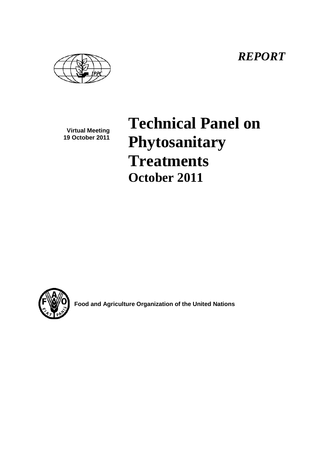*REPORT*

**Virtual Meeting 19 October 2011**

**Technical Panel on Phytosanitary Treatments October 2011**



**Food and Agriculture Organization of the United Nations**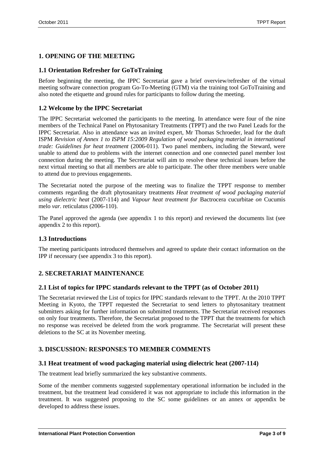# **1. OPENING OF THE MEETING**

## **1.1 Orientation Refresher for GoToTraining**

Before beginning the meeting, the IPPC Secretariat gave a brief overview/refresher of the virtual meeting software connection program Go-To-Meeting (GTM) via the training tool GoToTraining and also noted the etiquette and ground rules for participants to follow during the meeting.

## **1.2 Welcome by the IPPC Secretariat**

The IPPC Secretariat welcomed the participants to the meeting. In attendance were four of the nine members of the Technical Panel on Phytosanitary Treatments (TPPT) and the two Panel Leads for the IPPC Secretariat. Also in attendance was an invited expert, Mr Thomas Schroeder, lead for the draft ISPM *Revision of Annex 1 to ISPM 15:2009 Regulation of wood packaging material in international trade: Guidelines for heat treatment* (2006-011). Two panel members, including the Steward, were unable to attend due to problems with the internet connection and one connected panel member lost connection during the meeting. The Secretariat will aim to resolve these technical issues before the next virtual meeting so that all members are able to participate. The other three members were unable to attend due to previous engagements.

The Secretariat noted the purpose of the meeting was to finalize the TPPT response to member comments regarding the draft phytosanitary treatments *Heat treatment of wood packaging material using dielectric heat* (2007-114) and *Vapour heat treatment for* Bactrocera cucurbitae *on* Cucumis melo *var.* reticulatus (2006-110).

The Panel approved the agenda (see appendix 1 to this report) and reviewed the documents list (see appendix 2 to this report).

### **1.3 Introductions**

The meeting participants introduced themselves and agreed to update their contact information on the IPP if necessary (see appendix 3 to this report).

# **2. SECRETARIAT MAINTENANCE**

#### **2.1 List of topics for IPPC standards relevant to the TPPT (as of October 2011)**

The Secretariat reviewed the List of topics for IPPC standards relevant to the TPPT. At the 2010 TPPT Meeting in Kyoto, the TPPT requested the Secretariat to send letters to phytosanitary treatment submitters asking for further information on submitted treatments. The Secretariat received responses on only four treatments. Therefore, the Secretariat proposed to the TPPT that the treatments for which no response was received be deleted from the work programme. The Secretariat will present these deletions to the SC at its November meeting.

## **3. DISCUSSION: RESPONSES TO MEMBER COMMENTS**

### **3.1 Heat treatment of wood packaging material using dielectric heat (2007-114)**

The treatment lead briefly summarized the key substantive comments.

Some of the member comments suggested supplementary operational information be included in the treatment, but the treatment lead considered it was not appropriate to include this information in the treatment. It was suggested proposing to the SC some guidelines or an annex or appendix be developed to address these issues.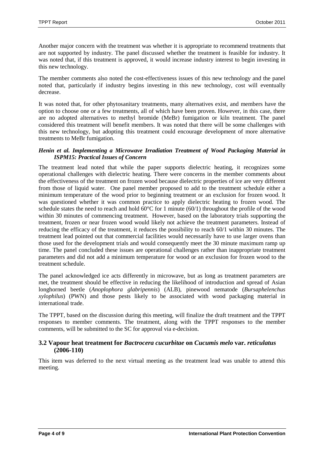Another major concern with the treatment was whether it is appropriate to recommend treatments that are not supported by industry. The panel discussed whether the treatment is feasible for industry. It was noted that, if this treatment is approved, it would increase industry interest to begin investing in this new technology.

The member comments also noted the cost-effectiveness issues of this new technology and the panel noted that, particularly if industry begins investing in this new technology, cost will eventually decrease.

It was noted that, for other phytosanitary treatments, many alternatives exist, and members have the option to choose one or a few treatments, all of which have been proven. However, in this case, there are no adopted alternatives to methyl bromide (MeBr) fumigation or kiln treatment. The panel considered this treatment will benefit members. It was noted that there will be some challenges with this new technology, but adopting this treatment could encourage development of more alternative treatments to MeBr fumigation.

#### *Henin et al. Implementing a Microwave Irradiation Treatment of Wood Packaging Material in ISPM15: Practical Issues of Concern*

The treatment lead noted that while the paper supports dielectric heating, it recognizes some operational challenges with dielectric heating. There were concerns in the member comments about the effectiveness of the treatment on frozen wood because dielectric properties of ice are very different from those of liquid water. One panel member proposed to add to the treatment schedule either a minimum temperature of the wood prior to beginning treatment or an exclusion for frozen wood. It was questioned whether it was common practice to apply dielectric heating to frozen wood. The schedule states the need to reach and hold 60°C for 1 minute (60/1) throughout the profile of the wood within 30 minutes of commencing treatment. However, based on the laboratory trials supporting the treatment, frozen or near frozen wood would likely not achieve the treatment parameters. Instead of reducing the efficacy of the treatment, it reduces the possibility to reach 60/1 within 30 minutes. The treatment lead pointed out that commercial facilities would necessarily have to use larger ovens than those used for the development trials and would consequently meet the 30 minute maximum ramp up time. The panel concluded these issues are operational challenges rather than inappropriate treatment parameters and did not add a minimum temperature for wood or an exclusion for frozen wood to the treatment schedule.

The panel acknowledged ice acts differently in microwave, but as long as treatment parameters are met, the treatment should be effective in reducing the likelihood of introduction and spread of Asian longhorned beetle (*Anoplophora glabripennis*) (ALB), pinewood nematode (*Bursaphelenchus xylophilus*) (PWN) and those pests likely to be associated with wood packaging material in international trade.

The TPPT, based on the discussion during this meeting, will finalize the draft treatment and the TPPT responses to member comments. The treatment, along with the TPPT responses to the member comments, will be submitted to the SC for approval via e-decision.

### **3.2 Vapour heat treatment for** *Bactrocera cucurbitae* **on** *Cucumis melo* **var.** *reticulatus* **(2006-110)**

This item was deferred to the next virtual meeting as the treatment lead was unable to attend this meeting.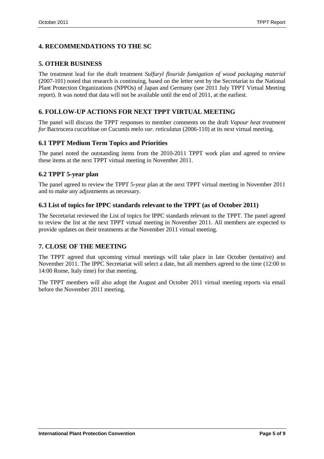# **4. RECOMMENDATIONS TO THE SC**

## **5. OTHER BUSINESS**

The treatment lead for the draft treatment *Sulfuryl flouride fumigation of wood packaging material* (2007-101) noted that research is continuing, based on the letter sent by the Secretariat to the National Plant Protection Organizations (NPPOs) of Japan and Germany (see 2011 July TPPT Virtual Meeting report). It was noted that data will not be available until the end of 2011, at the earliest.

# **6. FOLLOW-UP ACTIONS FOR NEXT TPPT VIRTUAL MEETING**

The panel will discuss the TPPT responses to member comments on the draft *Vapour heat treatment for* Bactrocera cucurbitae *on* Cucumis melo *var. reticulatus* (2006-110) at its next virtual meeting.

## **6.1 TPPT Medium Term Topics and Priorities**

The panel noted the outstanding items from the 2010-2011 TPPT work plan and agreed to review these items at the next TPPT virtual meeting in November 2011.

## **6.2 TPPT 5-year plan**

The panel agreed to review the TPPT 5-year plan at the next TPPT virtual meeting in November 2011 and to make any adjustments as necessary.

### **6.3 List of topics for IPPC standards relevant to the TPPT (as of October 2011)**

The Secretariat reviewed the List of topics for IPPC standards relevant to the TPPT. The panel agreed to review the list at the next TPPT virtual meeting in November 2011. All members are expected to provide updates on their treatments at the November 2011 virtual meeting.

# **7. CLOSE OF THE MEETING**

The TPPT agreed that upcoming virtual meetings will take place in late October (tentative) and November 2011. The IPPC Secretariat will select a date, but all members agreed to the time (12:00 to 14:00 Rome, Italy time) for that meeting.

The TPPT members will also adopt the August and October 2011 virtual meeting reports via email before the November 2011 meeting.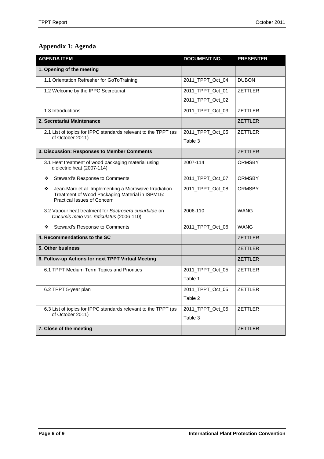# **Appendix 1: Agenda**

| <b>AGENDA ITEM</b>                                                                                                                           | <b>DOCUMENT NO.</b> | <b>PRESENTER</b> |
|----------------------------------------------------------------------------------------------------------------------------------------------|---------------------|------------------|
| 1. Opening of the meeting                                                                                                                    |                     |                  |
| 1.1 Orientation Refresher for GoToTraining                                                                                                   | 2011_TPPT_Oct_04    | <b>DUBON</b>     |
| 1.2 Welcome by the IPPC Secretariat                                                                                                          | 2011_TPPT_Oct_01    | <b>ZETTLER</b>   |
|                                                                                                                                              | 2011_TPPT_Oct_02    |                  |
| 1.3 Introductions                                                                                                                            | 2011_TPPT_Oct_03    | <b>ZETTLER</b>   |
| 2. Secretariat Maintenance                                                                                                                   |                     | <b>ZETTLER</b>   |
| 2.1 List of topics for IPPC standards relevant to the TPPT (as<br>of October 2011)                                                           | 2011_TPPT_Oct_05    | <b>ZETTLER</b>   |
|                                                                                                                                              | Table 3             |                  |
| 3. Discussion: Responses to Member Comments                                                                                                  |                     | <b>ZETTLER</b>   |
| 3.1 Heat treatment of wood packaging material using<br>dielectric heat (2007-114)                                                            | 2007-114            | <b>ORMSBY</b>    |
| Steward's Response to Comments<br>❖                                                                                                          | 2011_TPPT_Oct_07    | <b>ORMSBY</b>    |
| Jean-Marc et al. Implementing a Microwave Irradiation<br>❖<br>Treatment of Wood Packaging Material in ISPM15:<br>Practical Issues of Concern | 2011_TPPT_Oct_08    | <b>ORMSBY</b>    |
| 3.2 Vapour heat treatment for Bactrocera cucurbitae on<br>Cucumis melo var. reticulatus (2006-110)                                           | 2006-110            | <b>WANG</b>      |
| Steward's Response to Comments<br>❖                                                                                                          | 2011_TPPT_Oct_06    | <b>WANG</b>      |
| 4. Recommendations to the SC                                                                                                                 |                     | <b>ZETTLER</b>   |
| 5. Other business                                                                                                                            |                     | <b>ZETTLER</b>   |
| 6. Follow-up Actions for next TPPT Virtual Meeting                                                                                           |                     | <b>ZETTLER</b>   |
| 6.1 TPPT Medium Term Topics and Priorities                                                                                                   | 2011_TPPT_Oct_05    | <b>ZETTLER</b>   |
|                                                                                                                                              | Table 1             |                  |
| 6.2 TPPT 5-year plan                                                                                                                         | 2011_TPPT_Oct_05    | <b>ZETTLER</b>   |
|                                                                                                                                              | Table 2             |                  |
| 6.3 List of topics for IPPC standards relevant to the TPPT (as<br>of October 2011)                                                           | 2011_TPPT_Oct_05    | <b>ZETTLER</b>   |
|                                                                                                                                              | Table 3             |                  |
| 7. Close of the meeting                                                                                                                      |                     | <b>ZETTLER</b>   |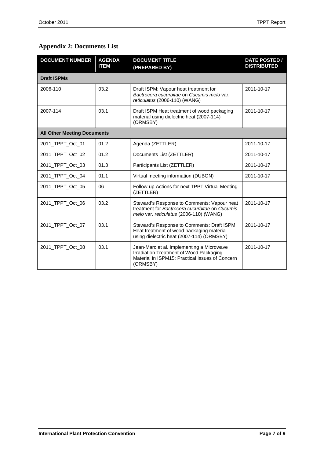# **Appendix 2: Documents List**

| <b>DOCUMENT NUMBER</b>             | <b>AGENDA</b><br><b>ITEM</b> | <b>DOCUMENT TITLE</b><br>(PREPARED BY)                                                                                                              | <b>DATE POSTED /</b><br><b>DISTRIBUTED</b> |  |
|------------------------------------|------------------------------|-----------------------------------------------------------------------------------------------------------------------------------------------------|--------------------------------------------|--|
| <b>Draft ISPMs</b>                 |                              |                                                                                                                                                     |                                            |  |
| 2006-110                           | 03.2                         | Draft ISPM: Vapour heat treatment for<br>Bactrocera cucurbitae on Cucumis melo var.<br>reticulatus (2006-110) (WANG)                                | 2011-10-17                                 |  |
| 2007-114                           | 03.1                         | Draft ISPM Heat treatment of wood packaging<br>material using dielectric heat (2007-114)<br>(ORMSBY)                                                | 2011-10-17                                 |  |
| <b>All Other Meeting Documents</b> |                              |                                                                                                                                                     |                                            |  |
| 2011_TPPT_Oct_01                   | 01.2                         | Agenda (ZETTLER)                                                                                                                                    | 2011-10-17                                 |  |
| 2011_TPPT_Oct_02                   | 01.2                         | Documents List (ZETTLER)                                                                                                                            | 2011-10-17                                 |  |
| 2011_TPPT_Oct_03                   | 01.3                         | Participants List (ZETTLER)                                                                                                                         | 2011-10-17                                 |  |
| 2011_TPPT_Oct_04                   | 01.1                         | Virtual meeting information (DUBON)                                                                                                                 | 2011-10-17                                 |  |
| 2011_TPPT_Oct_05                   | 06                           | Follow-up Actions for next TPPT Virtual Meeting<br>(ZETTLER)                                                                                        |                                            |  |
| 2011 TPPT Oct 06                   | 03.2                         | Steward's Response to Comments: Vapour heat<br>treatment for Bactrocera cucurbitae on Cucumis<br>melo var. reticulatus (2006-110) (WANG)            | 2011-10-17                                 |  |
| 2011_TPPT_Oct_07                   | 03.1                         | Steward's Response to Comments: Draft ISPM<br>Heat treatment of wood packaging material<br>using dielectric heat (2007-114) (ORMSBY)                | 2011-10-17                                 |  |
| 2011_TPPT_Oct_08                   | 03.1                         | Jean-Marc et al. Implementing a Microwave<br>Irradiation Treatment of Wood Packaging<br>Material in ISPM15: Practical Issues of Concern<br>(ORMSBY) | 2011-10-17                                 |  |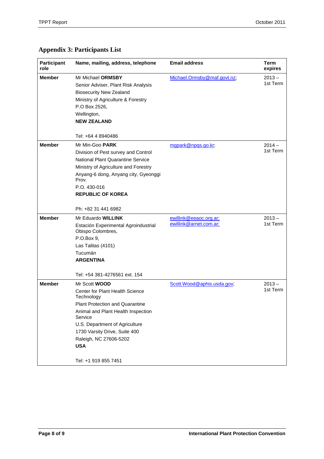# **Appendix 3: Participants List**

| Participant<br>role | Name, mailing, address, telephone                                                                                                                                                                                                                                           | <b>Email address</b>        | <b>Term</b><br>expires |
|---------------------|-----------------------------------------------------------------------------------------------------------------------------------------------------------------------------------------------------------------------------------------------------------------------------|-----------------------------|------------------------|
| <b>Member</b>       | Mr Michael ORMSBY<br>Senior Adviser, Plant Risk Analysis<br><b>Biosecurity New Zealand</b><br>Ministry of Agriculture & Forestry<br>P.O Box 2526,<br>Wellington,<br><b>NEW ZEALAND</b>                                                                                      | Michael.Ormsby@maf.govt.nz; | $2013 -$<br>1st Term   |
|                     | Tel: +64 4 8940486                                                                                                                                                                                                                                                          |                             |                        |
| <b>Member</b>       | Mr Min-Goo PARK<br>Division of Pest survey and Control<br><b>National Plant Quarantine Service</b><br>Ministry of Agriculture and Forestry<br>Anyang-6 dong, Anyang city, Gyeonggi<br>Prov.<br>P.O. 430-016<br><b>REPUBLIC OF KOREA</b><br>Ph: +82 31 441 6982              | mgpark@npgs.go.kr;          | $2014 -$<br>1st Term   |
| <b>Member</b>       | Mr Eduardo WILLINK                                                                                                                                                                                                                                                          | ewillink@eeaoc.org.ar;      | $2013 -$               |
|                     | Estación Experimental Agroindustrial<br>Obispo Colombres,<br>P.O.Box 9,<br>Las Talitas (4101)<br>Tucumán<br><b>ARGENTINA</b>                                                                                                                                                | ewillink@arnet.com.ar;      | 1st Term               |
|                     | Tel: +54 381-4276561 ext. 154                                                                                                                                                                                                                                               |                             |                        |
| <b>Member</b>       | Mr Scott <b>WOOD</b><br><b>Center for Plant Health Science</b><br>Technology<br>Plant Protection and Quarantine<br>Animal and Plant Health Inspection<br>Service<br>U.S. Department of Agriculture<br>1730 Varsity Drive, Suite 400<br>Raleigh, NC 27606-5202<br><b>USA</b> | Scott.Wood@aphis.usda.gov;  | $2013 -$<br>1st Term   |
|                     | Tel: +1 919 855 7451                                                                                                                                                                                                                                                        |                             |                        |